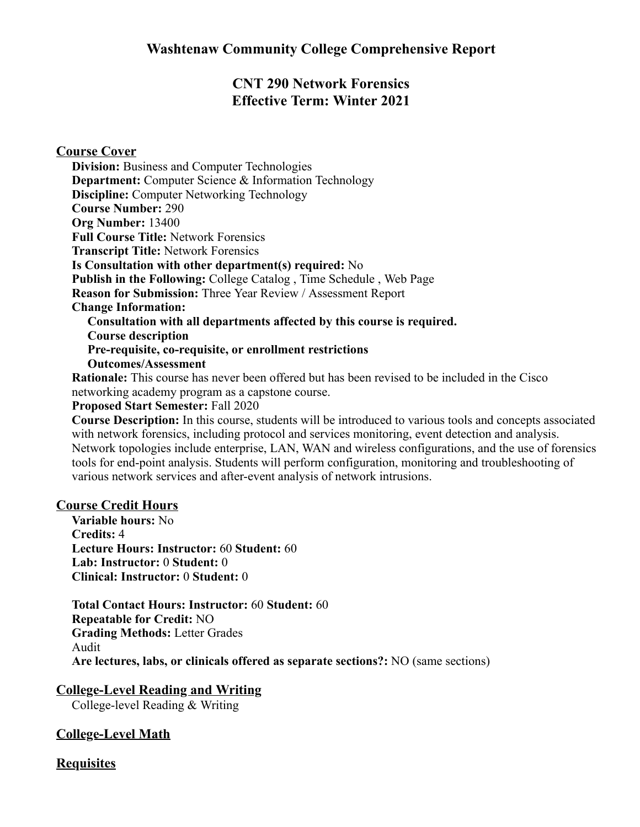# **CNT 290 Network Forensics Effective Term: Winter 2021**

### **Course Cover**

**Division:** Business and Computer Technologies **Department:** Computer Science & Information Technology **Discipline:** Computer Networking Technology **Course Number:** 290 **Org Number:** 13400 **Full Course Title:** Network Forensics **Transcript Title:** Network Forensics **Is Consultation with other department(s) required:** No **Publish in the Following:** College Catalog , Time Schedule , Web Page **Reason for Submission:** Three Year Review / Assessment Report **Change Information: Consultation with all departments affected by this course is required. Course description Pre-requisite, co-requisite, or enrollment restrictions Outcomes/Assessment**

**Rationale:** This course has never been offered but has been revised to be included in the Cisco networking academy program as a capstone course.

#### **Proposed Start Semester:** Fall 2020

**Course Description:** In this course, students will be introduced to various tools and concepts associated with network forensics, including protocol and services monitoring, event detection and analysis. Network topologies include enterprise, LAN, WAN and wireless configurations, and the use of forensics tools for end-point analysis. Students will perform configuration, monitoring and troubleshooting of various network services and after-event analysis of network intrusions.

### **Course Credit Hours**

**Variable hours:** No **Credits:** 4 **Lecture Hours: Instructor:** 60 **Student:** 60 **Lab: Instructor:** 0 **Student:** 0 **Clinical: Instructor:** 0 **Student:** 0

**Total Contact Hours: Instructor:** 60 **Student:** 60 **Repeatable for Credit:** NO **Grading Methods:** Letter Grades Audit **Are lectures, labs, or clinicals offered as separate sections?:** NO (same sections)

### **College-Level Reading and Writing**

College-level Reading & Writing

# **College-Level Math**

# **Requisites**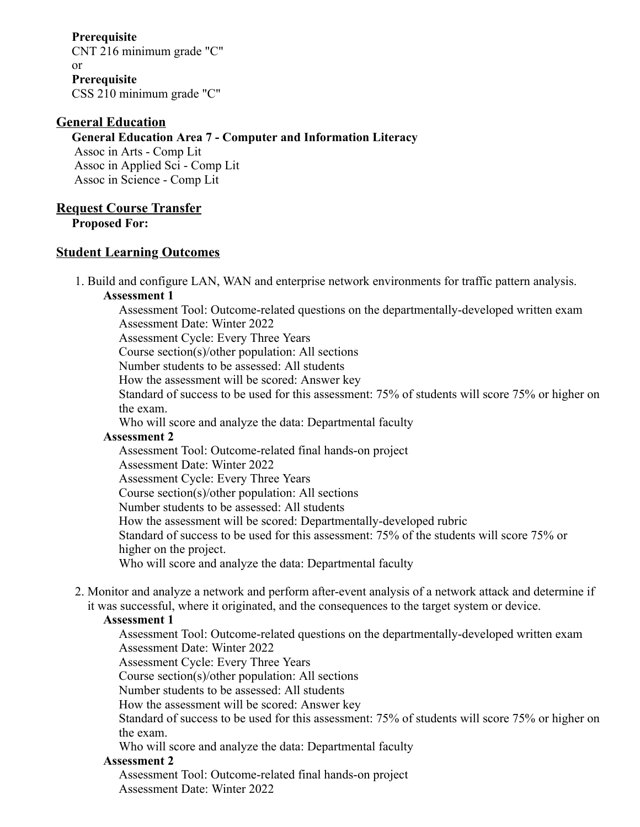**Prerequisite** CNT 216 minimum grade "C" or **Prerequisite** CSS 210 minimum grade "C"

### **General Education**

#### **General Education Area 7 - Computer and Information Literacy**

Assoc in Arts - Comp Lit Assoc in Applied Sci - Comp Lit Assoc in Science - Comp Lit

# **Request Course Transfer**

**Proposed For:**

### **Student Learning Outcomes**

1. Build and configure LAN, WAN and enterprise network environments for traffic pattern analysis. **Assessment 1**

Assessment Tool: Outcome-related questions on the departmentally-developed written exam Assessment Date: Winter 2022

Assessment Cycle: Every Three Years

Course section(s)/other population: All sections

Number students to be assessed: All students

How the assessment will be scored: Answer key

Standard of success to be used for this assessment: 75% of students will score 75% or higher on the exam.

Who will score and analyze the data: Departmental faculty

### **Assessment 2**

Assessment Tool: Outcome-related final hands-on project

Assessment Date: Winter 2022

Assessment Cycle: Every Three Years

Course section(s)/other population: All sections

Number students to be assessed: All students

How the assessment will be scored: Departmentally-developed rubric

Standard of success to be used for this assessment: 75% of the students will score 75% or higher on the project.

Who will score and analyze the data: Departmental faculty

2. Monitor and analyze a network and perform after-event analysis of a network attack and determine if it was successful, where it originated, and the consequences to the target system or device.

### **Assessment 1**

Assessment Tool: Outcome-related questions on the departmentally-developed written exam Assessment Date: Winter 2022

Assessment Cycle: Every Three Years

Course section(s)/other population: All sections

Number students to be assessed: All students

How the assessment will be scored: Answer key

Standard of success to be used for this assessment: 75% of students will score 75% or higher on the exam.

Who will score and analyze the data: Departmental faculty

### **Assessment 2**

Assessment Tool: Outcome-related final hands-on project Assessment Date: Winter 2022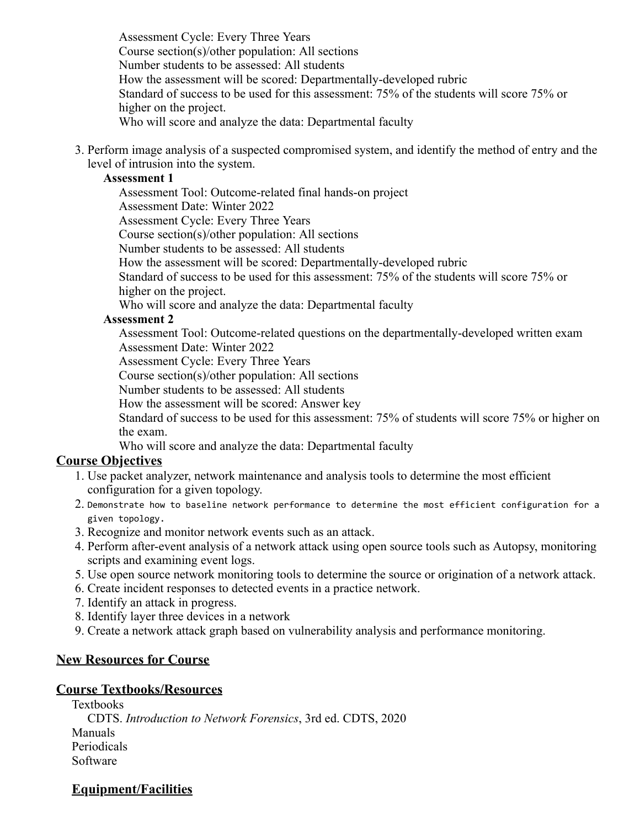Assessment Cycle: Every Three Years Course section(s)/other population: All sections Number students to be assessed: All students How the assessment will be scored: Departmentally-developed rubric Standard of success to be used for this assessment: 75% of the students will score 75% or higher on the project. Who will score and analyze the data: Departmental faculty

3. Perform image analysis of a suspected compromised system, and identify the method of entry and the level of intrusion into the system.

### **Assessment 1**

Assessment Tool: Outcome-related final hands-on project Assessment Date: Winter 2022 Assessment Cycle: Every Three Years Course section(s)/other population: All sections Number students to be assessed: All students How the assessment will be scored: Departmentally-developed rubric Standard of success to be used for this assessment: 75% of the students will score 75% or higher on the project. Who will score and analyze the data: Departmental faculty

#### **Assessment 2**

Assessment Tool: Outcome-related questions on the departmentally-developed written exam Assessment Date: Winter 2022

Assessment Cycle: Every Three Years

Course section(s)/other population: All sections

Number students to be assessed: All students

How the assessment will be scored: Answer key

Standard of success to be used for this assessment: 75% of students will score 75% or higher on the exam.

Who will score and analyze the data: Departmental faculty

### **Course Objectives**

- 1. Use packet analyzer, network maintenance and analysis tools to determine the most efficient configuration for a given topology.
- 2. Demonstrate how to baseline network performance to determine the most efficient configuration for a given topology.
- 3. Recognize and monitor network events such as an attack.
- 4. Perform after-event analysis of a network attack using open source tools such as Autopsy, monitoring scripts and examining event logs.
- 5. Use open source network monitoring tools to determine the source or origination of a network attack.
- 6. Create incident responses to detected events in a practice network.
- 7. Identify an attack in progress.
- 8. Identify layer three devices in a network
- 9. Create a network attack graph based on vulnerability analysis and performance monitoring.

# **New Resources for Course**

### **Course Textbooks/Resources**

Textbooks CDTS. *Introduction to Network Forensics*, 3rd ed. CDTS, 2020 Manuals Periodicals Software

# **Equipment/Facilities**